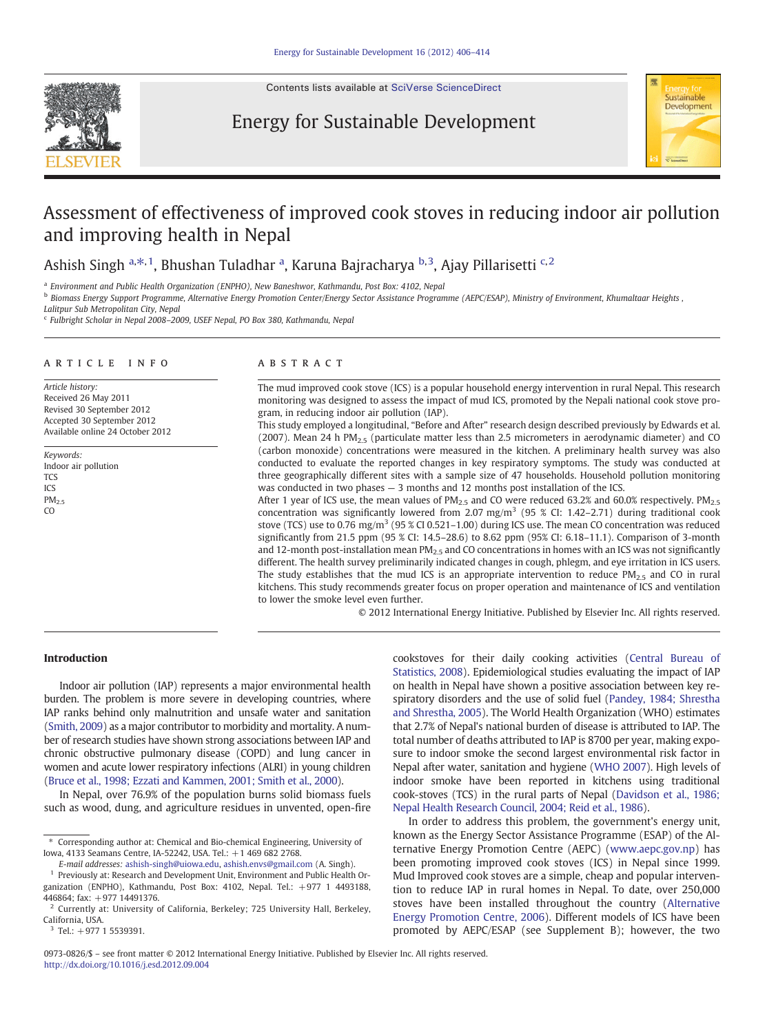Contents lists available at [SciVerse ScienceDirect](http://www.sciencedirect.com/science/journal/00000000)

## Energy for Sustainable Development



# Assessment of effectiveness of improved cook stoves in reducing indoor air pollution and improving health in Nepal

## Ashish Singh <sup>a, $\ast$ ,1, Bhushan Tuladhar <sup>a</sup>, Karuna Bajracharya <sup>b,3</sup>, Ajay Pillarisetti <sup>c,2</sup></sup>

<sup>a</sup> Environment and Public Health Organization (ENPHO), New Baneshwor, Kathmandu, Post Box: 4102, Nepal

b Biomass Energy Support Programme, Alternative Energy Promotion Center/Energy Sector Assistance Programme (AEPC/ESAP), Ministry of Environment, Khumaltaar Heights,

Lalitpur Sub Metropolitan City, Nepal

<sup>c</sup> Fulbright Scholar in Nepal 2008–2009, USEF Nepal, PO Box 380, Kathmandu, Nepal

#### article info abstract

Article history: Received 26 May 2011 Revised 30 September 2012 Accepted 30 September 2012 Available online 24 October 2012

Keywords: Indoor air pollution **TCS** ICS  $PM<sub>2.5</sub>$  $CO$ 

The mud improved cook stove (ICS) is a popular household energy intervention in rural Nepal. This research monitoring was designed to assess the impact of mud ICS, promoted by the Nepali national cook stove program, in reducing indoor air pollution (IAP).

This study employed a longitudinal, "Before and After" research design described previously by Edwards et al. (2007). Mean 24 h PM<sub>2.5</sub> (particulate matter less than 2.5 micrometers in aerodynamic diameter) and CO (carbon monoxide) concentrations were measured in the kitchen. A preliminary health survey was also conducted to evaluate the reported changes in key respiratory symptoms. The study was conducted at three geographically different sites with a sample size of 47 households. Household pollution monitoring was conducted in two phases — 3 months and 12 months post installation of the ICS.

After 1 year of ICS use, the mean values of  $PM_{2.5}$  and CO were reduced 63.2% and 60.0% respectively.  $PM_{2.5}$ concentration was significantly lowered from 2.07 mg/m<sup>3</sup> (95 % CI: 1.42–2.71) during traditional cook stove (TCS) use to 0.76 mg/m<sup>3</sup> (95 % CI 0.521-1.00) during ICS use. The mean CO concentration was reduced significantly from 21.5 ppm (95 % CI: 14.5–28.6) to 8.62 ppm (95% CI: 6.18–11.1). Comparison of 3-month and 12-month post-installation mean  $PM_{2.5}$  and CO concentrations in homes with an ICS was not significantly different. The health survey preliminarily indicated changes in cough, phlegm, and eye irritation in ICS users. The study establishes that the mud ICS is an appropriate intervention to reduce  $PM_{2.5}$  and CO in rural kitchens. This study recommends greater focus on proper operation and maintenance of ICS and ventilation to lower the smoke level even further.

© 2012 International Energy Initiative. Published by Elsevier Inc. All rights reserved.

### Introduction

Indoor air pollution (IAP) represents a major environmental health burden. The problem is more severe in developing countries, where IAP ranks behind only malnutrition and unsafe water and sanitation [\(Smith, 2009\)](#page-8-0) as a major contributor to morbidity and mortality. A number of research studies have shown strong associations between IAP and chronic obstructive pulmonary disease (COPD) and lung cancer in women and acute lower respiratory infections (ALRI) in young children [\(Bruce et al., 1998; Ezzati and Kammen, 2001; Smith et al., 2000\)](#page-8-0).

In Nepal, over 76.9% of the population burns solid biomass fuels such as wood, dung, and agriculture residues in unvented, open-fire

 $3$  Tel.: +977 1 5539391.

cookstoves for their daily cooking activities [\(Central Bureau of](#page-8-0) [Statistics, 2008](#page-8-0)). Epidemiological studies evaluating the impact of IAP on health in Nepal have shown a positive association between key respiratory disorders and the use of solid fuel ([Pandey, 1984; Shrestha](#page-8-0) [and Shrestha, 2005\)](#page-8-0). The World Health Organization (WHO) estimates that 2.7% of Nepal's national burden of disease is attributed to IAP. The total number of deaths attributed to IAP is 8700 per year, making exposure to indoor smoke the second largest environmental risk factor in Nepal after water, sanitation and hygiene [\(WHO 2007](#page-8-0)). High levels of indoor smoke have been reported in kitchens using traditional cook-stoves (TCS) in the rural parts of Nepal [\(Davidson et al., 1986;](#page-8-0) [Nepal Health Research Council, 2004; Reid et al., 1986\)](#page-8-0).

In order to address this problem, the government's energy unit, known as the Energy Sector Assistance Programme (ESAP) of the Alternative Energy Promotion Centre (AEPC) [\(www.aepc.gov.np\)](http://www.aepc.gov.np) has been promoting improved cook stoves (ICS) in Nepal since 1999. Mud Improved cook stoves are a simple, cheap and popular intervention to reduce IAP in rural homes in Nepal. To date, over 250,000 stoves have been installed throughout the country [\(Alternative](#page-8-0) [Energy Promotion Centre, 2006](#page-8-0)). Different models of ICS have been promoted by AEPC/ESAP (see Supplement B); however, the two

0973-0826/\$ – see front matter © 2012 International Energy Initiative. Published by Elsevier Inc. All rights reserved. <http://dx.doi.org/10.1016/j.esd.2012.09.004>

<sup>⁎</sup> Corresponding author at: Chemical and Bio-chemical Engineering, University of Iowa, 4133 Seamans Centre, IA-52242, USA. Tel.: +1 469 682 2768.

E-mail addresses: [ashish-singh@uiowa.edu](mailto:ashish-singh@uiowa.edu), [ashish.envs@gmail.com](mailto:ashish.envs@gmail.com) (A. Singh).

 $1$  Previously at: Research and Development Unit. Environment and Public Health Organization (ENPHO), Kathmandu, Post Box: 4102, Nepal. Tel.:  $+977$  1 4493188, 446864; fax: +977 14491376.

<sup>2</sup> Currently at: University of California, Berkeley; 725 University Hall, Berkeley, California, USA.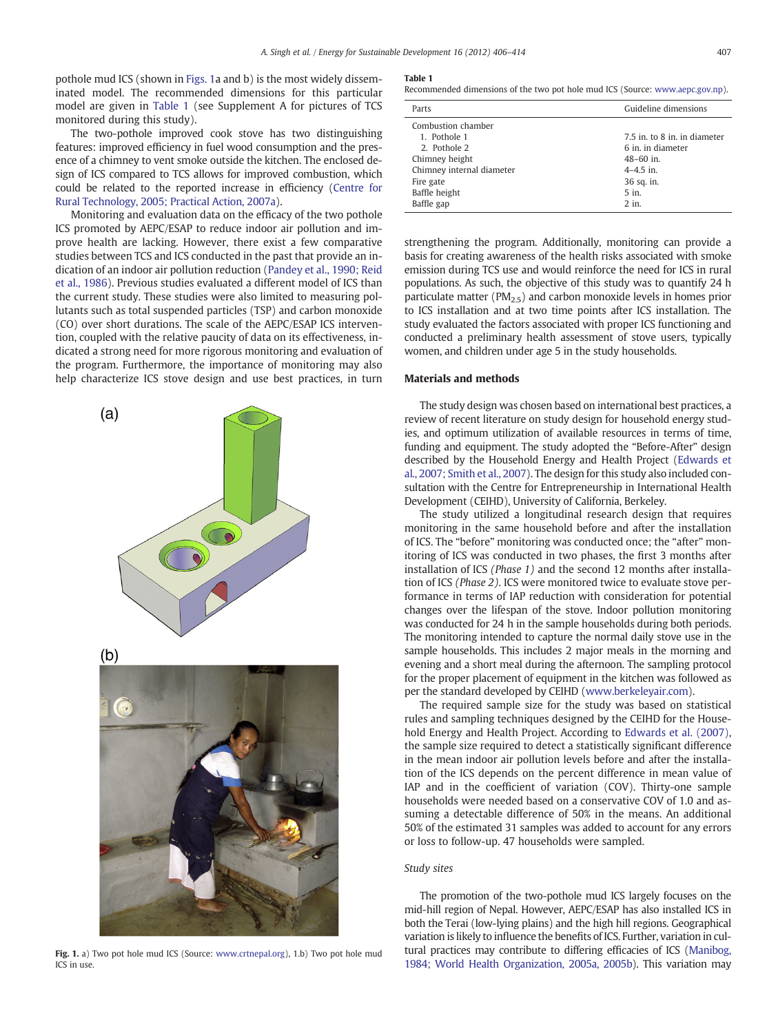pothole mud ICS (shown in Figs. 1a and b) is the most widely disseminated model. The recommended dimensions for this particular model are given in Table 1 (see Supplement A for pictures of TCS monitored during this study).

The two-pothole improved cook stove has two distinguishing features: improved efficiency in fuel wood consumption and the presence of a chimney to vent smoke outside the kitchen. The enclosed design of ICS compared to TCS allows for improved combustion, which could be related to the reported increase in efficiency [\(Centre for](#page-8-0) [Rural Technology, 2005; Practical Action, 2007a\)](#page-8-0).

Monitoring and evaluation data on the efficacy of the two pothole ICS promoted by AEPC/ESAP to reduce indoor air pollution and improve health are lacking. However, there exist a few comparative studies between TCS and ICS conducted in the past that provide an indication of an indoor air pollution reduction ([Pandey et al., 1990; Reid](#page-8-0) [et al., 1986](#page-8-0)). Previous studies evaluated a different model of ICS than the current study. These studies were also limited to measuring pollutants such as total suspended particles (TSP) and carbon monoxide (CO) over short durations. The scale of the AEPC/ESAP ICS intervention, coupled with the relative paucity of data on its effectiveness, indicated a strong need for more rigorous monitoring and evaluation of the program. Furthermore, the importance of monitoring may also help characterize ICS stove design and use best practices, in turn



Fig. 1. a) Two pot hole mud ICS (Source: [www.crtnepal.org\)](http://www.crtnepal.org), 1.b) Two pot hole mud ICS in use.

#### Table 1

Recommended dimensions of the two pot hole mud ICS (Source: [www.aepc.gov.np\)](http://www.aepc.gov.np).

| Parts                     | Guideline dimensions         |
|---------------------------|------------------------------|
| Combustion chamber        |                              |
| 1. Pothole 1              | 7.5 in. to 8 in. in diameter |
| 2. Pothole 2              | 6 in. in diameter            |
| Chimney height            | 48-60 in.                    |
| Chimney internal diameter | $4 - 4.5$ in.                |
| Fire gate                 | 36 sq. in.                   |
| Baffle height             | 5 in.                        |
| Baffle gap                | 2 in.                        |

strengthening the program. Additionally, monitoring can provide a basis for creating awareness of the health risks associated with smoke emission during TCS use and would reinforce the need for ICS in rural populations. As such, the objective of this study was to quantify 24 h particulate matter ( $PM<sub>2.5</sub>$ ) and carbon monoxide levels in homes prior to ICS installation and at two time points after ICS installation. The study evaluated the factors associated with proper ICS functioning and conducted a preliminary health assessment of stove users, typically women, and children under age 5 in the study households.

#### Materials and methods

The study design was chosen based on international best practices, a review of recent literature on study design for household energy studies, and optimum utilization of available resources in terms of time, funding and equipment. The study adopted the "Before-After" design described by the Household Energy and Health Project [\(Edwards et](#page-8-0) [al., 2007; Smith et al., 2007\)](#page-8-0). The design for this study also included consultation with the Centre for Entrepreneurship in International Health Development (CEIHD), University of California, Berkeley.

The study utilized a longitudinal research design that requires monitoring in the same household before and after the installation of ICS. The "before" monitoring was conducted once; the "after" monitoring of ICS was conducted in two phases, the first 3 months after installation of ICS (Phase 1) and the second 12 months after installation of ICS (Phase 2). ICS were monitored twice to evaluate stove performance in terms of IAP reduction with consideration for potential changes over the lifespan of the stove. Indoor pollution monitoring was conducted for 24 h in the sample households during both periods. The monitoring intended to capture the normal daily stove use in the sample households. This includes 2 major meals in the morning and evening and a short meal during the afternoon. The sampling protocol for the proper placement of equipment in the kitchen was followed as per the standard developed by CEIHD ([www.berkeleyair.com](http://www.berkeleyair.com)).

The required sample size for the study was based on statistical rules and sampling techniques designed by the CEIHD for the Household Energy and Health Project. According to [Edwards et al. \(2007\),](#page-8-0) the sample size required to detect a statistically significant difference in the mean indoor air pollution levels before and after the installation of the ICS depends on the percent difference in mean value of IAP and in the coefficient of variation (COV). Thirty-one sample households were needed based on a conservative COV of 1.0 and assuming a detectable difference of 50% in the means. An additional 50% of the estimated 31 samples was added to account for any errors or loss to follow-up. 47 households were sampled.

#### Study sites

The promotion of the two-pothole mud ICS largely focuses on the mid-hill region of Nepal. However, AEPC/ESAP has also installed ICS in both the Terai (low-lying plains) and the high hill regions. Geographical variation is likely to influence the benefits of ICS. Further, variation in cultural practices may contribute to differing efficacies of ICS [\(Manibog,](#page-8-0) [1984; World Health Organization, 2005a, 2005b](#page-8-0)). This variation may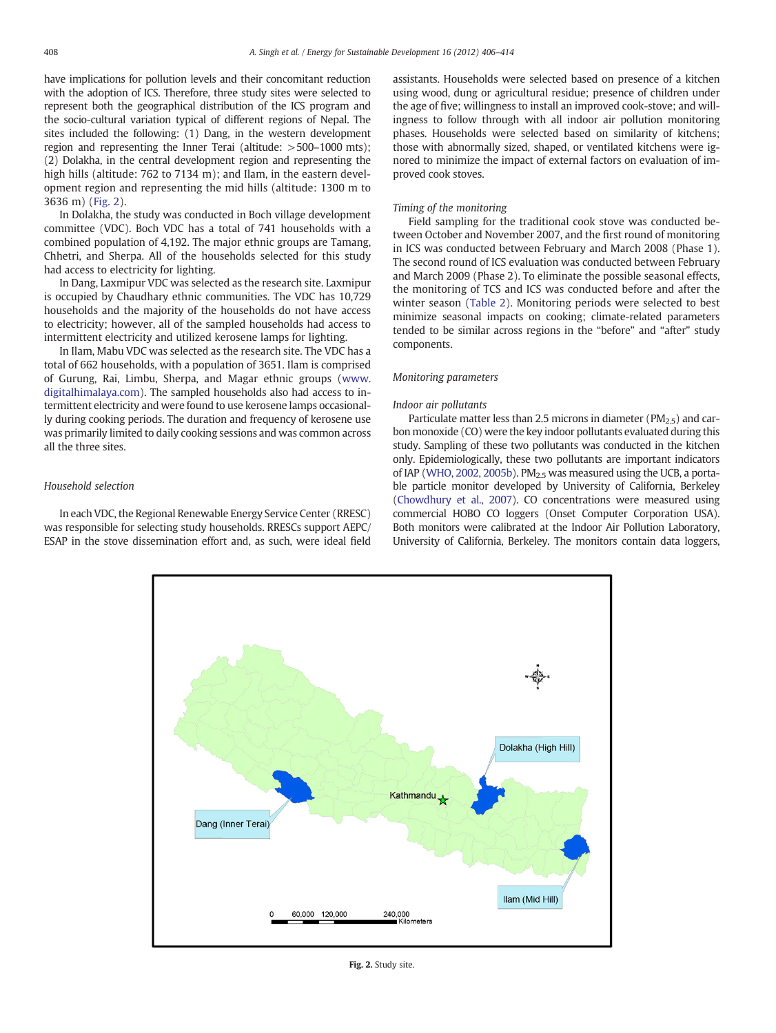have implications for pollution levels and their concomitant reduction with the adoption of ICS. Therefore, three study sites were selected to represent both the geographical distribution of the ICS program and the socio-cultural variation typical of different regions of Nepal. The sites included the following: (1) Dang, in the western development region and representing the Inner Terai (altitude: >500-1000 mts); (2) Dolakha, in the central development region and representing the high hills (altitude: 762 to 7134 m); and Ilam, in the eastern development region and representing the mid hills (altitude: 1300 m to 3636 m) (Fig. 2).

In Dolakha, the study was conducted in Boch village development committee (VDC). Boch VDC has a total of 741 households with a combined population of 4,192. The major ethnic groups are Tamang, Chhetri, and Sherpa. All of the households selected for this study had access to electricity for lighting.

In Dang, Laxmipur VDC was selected as the research site. Laxmipur is occupied by Chaudhary ethnic communities. The VDC has 10,729 households and the majority of the households do not have access to electricity; however, all of the sampled households had access to intermittent electricity and utilized kerosene lamps for lighting.

In Ilam, Mabu VDC was selected as the research site. The VDC has a total of 662 households, with a population of 3651. Ilam is comprised of Gurung, Rai, Limbu, Sherpa, and Magar ethnic groups ([www.](http://www.digitalhimalaya.com) [digitalhimalaya.com](http://www.digitalhimalaya.com)). The sampled households also had access to intermittent electricity and were found to use kerosene lamps occasionally during cooking periods. The duration and frequency of kerosene use was primarily limited to daily cooking sessions and was common across all the three sites.

#### Household selection

In each VDC, the Regional Renewable Energy Service Center (RRESC) was responsible for selecting study households. RRESCs support AEPC/ ESAP in the stove dissemination effort and, as such, were ideal field assistants. Households were selected based on presence of a kitchen using wood, dung or agricultural residue; presence of children under the age of five; willingness to install an improved cook-stove; and willingness to follow through with all indoor air pollution monitoring phases. Households were selected based on similarity of kitchens; those with abnormally sized, shaped, or ventilated kitchens were ignored to minimize the impact of external factors on evaluation of improved cook stoves.

#### Timing of the monitoring

Field sampling for the traditional cook stove was conducted between October and November 2007, and the first round of monitoring in ICS was conducted between February and March 2008 (Phase 1). The second round of ICS evaluation was conducted between February and March 2009 (Phase 2). To eliminate the possible seasonal effects, the monitoring of TCS and ICS was conducted before and after the winter season ([Table 2](#page-3-0)). Monitoring periods were selected to best minimize seasonal impacts on cooking; climate-related parameters tended to be similar across regions in the "before" and "after" study components.

#### Monitoring parameters

#### Indoor air pollutants

Particulate matter less than 2.5 microns in diameter ( $PM<sub>2.5</sub>$ ) and carbon monoxide (CO) were the key indoor pollutants evaluated during this study. Sampling of these two pollutants was conducted in the kitchen only. Epidemiologically, these two pollutants are important indicators of IAP [\(WHO, 2002, 2005b](#page-8-0)). PM $_{2.5}$  was measured using the UCB, a portable particle monitor developed by University of California, Berkeley [\(Chowdhury et al., 2007](#page-8-0)). CO concentrations were measured using commercial HOBO CO loggers (Onset Computer Corporation USA). Both monitors were calibrated at the Indoor Air Pollution Laboratory, University of California, Berkeley. The monitors contain data loggers,



Fig. 2. Study site.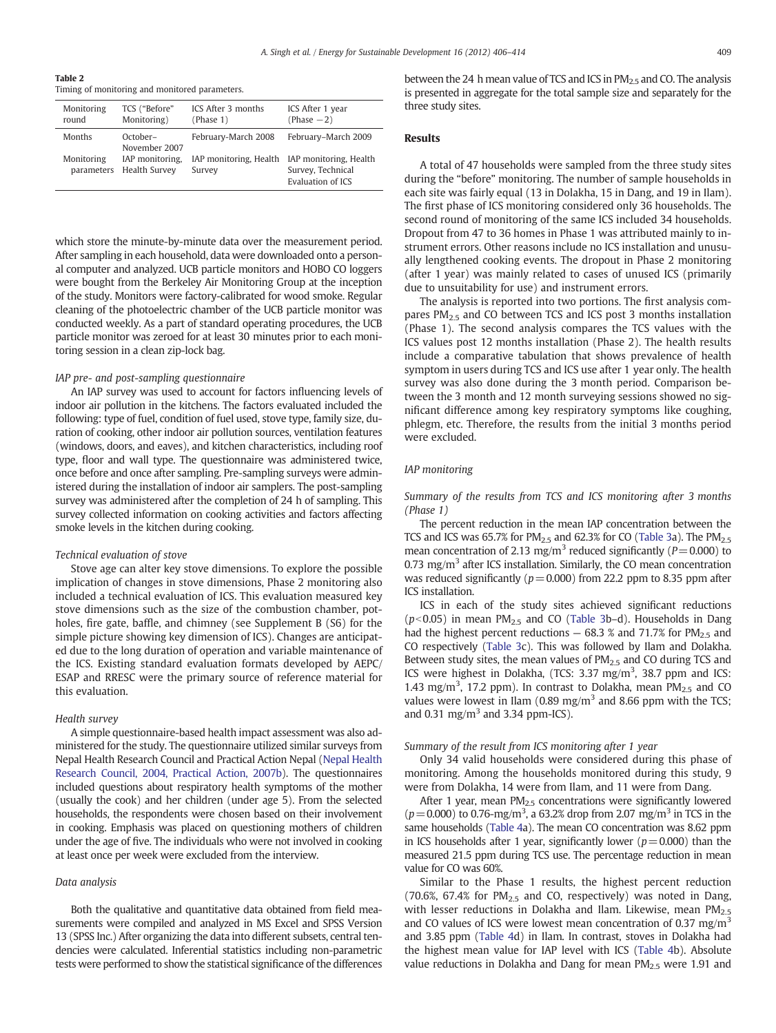<span id="page-3-0"></span>Table 2

Timing of monitoring and monitored parameters.

| Monitoring<br>round | TCS ("Before"<br>Monitoring)                | ICS After 3 months<br>(Phase 1)  | ICS After 1 year<br>$(Phase - 2)$                                |
|---------------------|---------------------------------------------|----------------------------------|------------------------------------------------------------------|
| Months              | October-<br>November 2007                   | February-March 2008              | February-March 2009                                              |
| Monitoring          | IAP monitoring.<br>parameters Health Survey | IAP monitoring, Health<br>Survey | IAP monitoring, Health<br>Survey, Technical<br>Evaluation of ICS |

which store the minute-by-minute data over the measurement period. After sampling in each household, data were downloaded onto a personal computer and analyzed. UCB particle monitors and HOBO CO loggers were bought from the Berkeley Air Monitoring Group at the inception of the study. Monitors were factory-calibrated for wood smoke. Regular cleaning of the photoelectric chamber of the UCB particle monitor was conducted weekly. As a part of standard operating procedures, the UCB particle monitor was zeroed for at least 30 minutes prior to each monitoring session in a clean zip-lock bag.

#### IAP pre- and post-sampling questionnaire

An IAP survey was used to account for factors influencing levels of indoor air pollution in the kitchens. The factors evaluated included the following: type of fuel, condition of fuel used, stove type, family size, duration of cooking, other indoor air pollution sources, ventilation features (windows, doors, and eaves), and kitchen characteristics, including roof type, floor and wall type. The questionnaire was administered twice, once before and once after sampling. Pre-sampling surveys were administered during the installation of indoor air samplers. The post-sampling survey was administered after the completion of 24 h of sampling. This survey collected information on cooking activities and factors affecting smoke levels in the kitchen during cooking.

#### Technical evaluation of stove

Stove age can alter key stove dimensions. To explore the possible implication of changes in stove dimensions, Phase 2 monitoring also included a technical evaluation of ICS. This evaluation measured key stove dimensions such as the size of the combustion chamber, potholes, fire gate, baffle, and chimney (see Supplement B (S6) for the simple picture showing key dimension of ICS). Changes are anticipated due to the long duration of operation and variable maintenance of the ICS. Existing standard evaluation formats developed by AEPC/ ESAP and RRESC were the primary source of reference material for this evaluation.

#### Health survey

A simple questionnaire-based health impact assessment was also administered for the study. The questionnaire utilized similar surveys from Nepal Health Research Council and Practical Action Nepal [\(Nepal Health](#page-8-0) [Research Council, 2004, Practical Action, 2007b](#page-8-0)). The questionnaires included questions about respiratory health symptoms of the mother (usually the cook) and her children (under age 5). From the selected households, the respondents were chosen based on their involvement in cooking. Emphasis was placed on questioning mothers of children under the age of five. The individuals who were not involved in cooking at least once per week were excluded from the interview.

#### Data analysis

Both the qualitative and quantitative data obtained from field measurements were compiled and analyzed in MS Excel and SPSS Version 13 (SPSS Inc.) After organizing the data into different subsets, central tendencies were calculated. Inferential statistics including non-parametric tests were performed to show the statistical significance of the differences between the 24 h mean value of TCS and ICS in  $PM<sub>25</sub>$  and CO. The analysis is presented in aggregate for the total sample size and separately for the three study sites.

### Results

A total of 47 households were sampled from the three study sites during the "before" monitoring. The number of sample households in each site was fairly equal (13 in Dolakha, 15 in Dang, and 19 in Ilam). The first phase of ICS monitoring considered only 36 households. The second round of monitoring of the same ICS included 34 households. Dropout from 47 to 36 homes in Phase 1 was attributed mainly to instrument errors. Other reasons include no ICS installation and unusually lengthened cooking events. The dropout in Phase 2 monitoring (after 1 year) was mainly related to cases of unused ICS (primarily due to unsuitability for use) and instrument errors.

The analysis is reported into two portions. The first analysis compares  $PM<sub>2.5</sub>$  and CO between TCS and ICS post 3 months installation (Phase 1). The second analysis compares the TCS values with the ICS values post 12 months installation (Phase 2). The health results include a comparative tabulation that shows prevalence of health symptom in users during TCS and ICS use after 1 year only. The health survey was also done during the 3 month period. Comparison between the 3 month and 12 month surveying sessions showed no significant difference among key respiratory symptoms like coughing, phlegm, etc. Therefore, the results from the initial 3 months period were excluded.

#### IAP monitoring

Summary of the results from TCS and ICS monitoring after 3 months (Phase 1)

The percent reduction in the mean IAP concentration between the TCS and ICS was 65.7% for  $PM<sub>2.5</sub>$  and 62.3% for CO ([Table 3a](#page-4-0)). The  $PM<sub>2.5</sub>$ mean concentration of 2.13 mg/m<sup>3</sup> reduced significantly ( $P=0.000$ ) to 0.73 mg/ $m<sup>3</sup>$  after ICS installation. Similarly, the CO mean concentration was reduced significantly ( $p=0.000$ ) from 22.2 ppm to 8.35 ppm after ICS installation.

ICS in each of the study sites achieved significant reductions  $(p<0.05)$  in mean PM<sub>2.5</sub> and CO [\(Table 3](#page-4-0)b–d). Households in Dang had the highest percent reductions  $-68.3$  % and 71.7% for PM<sub>2.5</sub> and CO respectively ([Table 3](#page-4-0)c). This was followed by Ilam and Dolakha. Between study sites, the mean values of  $PM<sub>2.5</sub>$  and CO during TCS and ICS were highest in Dolakha, (TCS:  $3.37 \text{ mg/m}^3$ ,  $38.7 \text{ ppm}$  and ICS: 1.43 mg/m<sup>3</sup>, 17.2 ppm). In contrast to Dolakha, mean  $PM<sub>2.5</sub>$  and CO values were lowest in Ilam (0.89 mg/m<sup>3</sup> and 8.66 ppm with the TCS; and 0.31 mg/m<sup>3</sup> and 3.34 ppm-ICS).

#### Summary of the result from ICS monitoring after 1 year

Only 34 valid households were considered during this phase of monitoring. Among the households monitored during this study, 9 were from Dolakha, 14 were from Ilam, and 11 were from Dang.

After 1 year, mean  $PM<sub>2.5</sub>$  concentrations were significantly lowered  $(p=0.000)$  to 0.76-mg/m<sup>3</sup>, a 63.2% drop from 2.07 mg/m<sup>3</sup> in TCS in the same households [\(Table 4](#page-4-0)a). The mean CO concentration was 8.62 ppm in ICS households after 1 year, significantly lower ( $p=0.000$ ) than the measured 21.5 ppm during TCS use. The percentage reduction in mean value for CO was 60%.

Similar to the Phase 1 results, the highest percent reduction (70.6%, 67.4% for  $PM_{2.5}$  and CO, respectively) was noted in Dang, with lesser reductions in Dolakha and Ilam. Likewise, mean  $PM_{2.5}$ and CO values of ICS were lowest mean concentration of 0.37 mg/m<sup>3</sup> and 3.85 ppm ([Table 4](#page-4-0)d) in Ilam. In contrast, stoves in Dolakha had the highest mean value for IAP level with ICS [\(Table 4](#page-4-0)b). Absolute value reductions in Dolakha and Dang for mean  $PM<sub>2.5</sub>$  were 1.91 and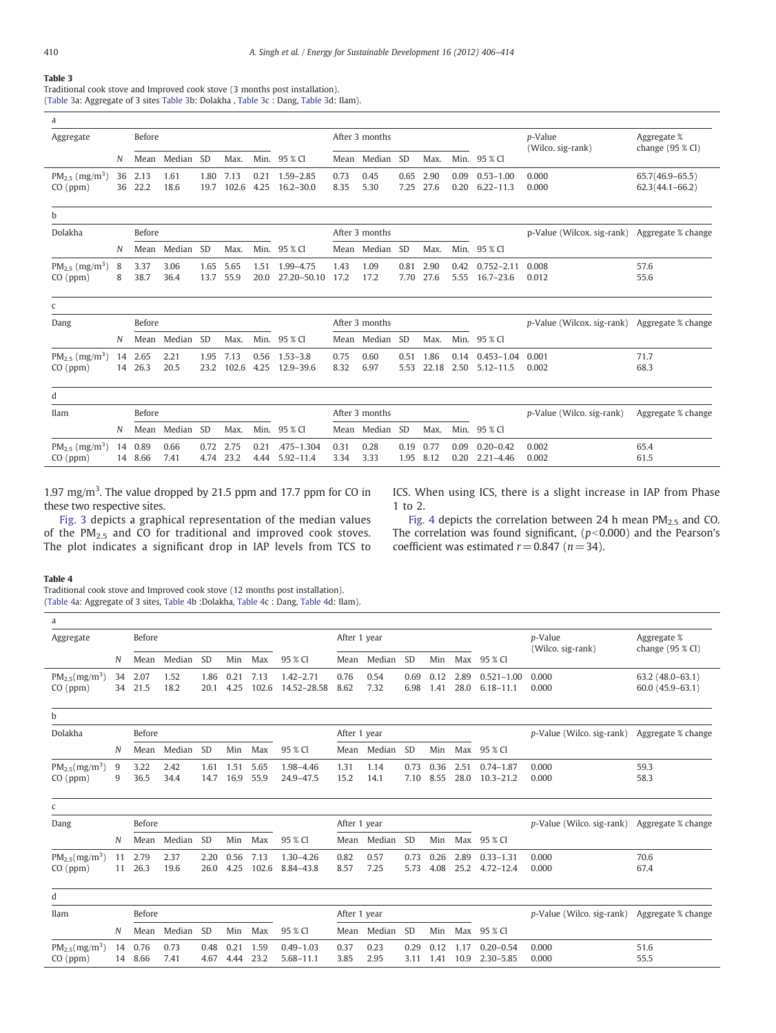#### <span id="page-4-0"></span>Table 3

Traditional cook stove and Improved cook stove (3 months post installation). (Table 3a: Aggregate of 3 sites Table 3b: Dolakha , Table 3c : Dang, Table 3d: Ilam).

| a                               |    |        |           |           |       |      |               |      |                |           |       |      |                |                                    |                                 |
|---------------------------------|----|--------|-----------|-----------|-------|------|---------------|------|----------------|-----------|-------|------|----------------|------------------------------------|---------------------------------|
| Aggregate                       |    | Before |           |           |       |      |               |      | After 3 months |           |       |      |                | p-Value<br>(Wilco. sig-rank)       | Aggregate %<br>change $(95 %C)$ |
|                                 | N  | Mean   | Median    | <b>SD</b> | Max.  | Min. | 95 % Cl       | Mean | Median         | <b>SD</b> | Max.  | Min. | 95 % Cl        |                                    |                                 |
| $PM_{2.5}$ (mg/m <sup>3</sup> ) | 36 | 2.13   | 1.61      | 1.80      | 7.13  | 0.21 | 1.59-2.85     | 0.73 | 0.45           | 0.65      | 2.90  | 0.09 | $0.53 - 1.00$  | 0.000                              | $65.7(46.9 - 65.5)$             |
| CO (ppm)                        | 36 | 22.2   | 18.6      | 19.7      | 102.6 | 4.25 | $16.2 - 30.0$ | 8.35 | 5.30           | 7.25      | 27.6  | 0.20 | $6.22 - 11.3$  | 0.000                              | $62.3(44.1 - 66.2)$             |
| b.                              |    |        |           |           |       |      |               |      |                |           |       |      |                |                                    |                                 |
| Dolakha                         |    | Before |           |           |       |      |               |      | After 3 months |           |       |      |                | p-Value (Wilcox, sig-rank)         | Aggregate % change              |
|                                 | N  | Mean   | Median    | <b>SD</b> | Max.  | Min. | 95 % Cl       | Mean | Median         | SD        | Max.  | Min. | 95 % Cl        |                                    |                                 |
| $PM_{2.5}$ (mg/m <sup>3</sup> ) | 8  | 3.37   | 3.06      | 1.65      | 5.65  | 1.51 | 1.99-4.75     | 1.43 | 1.09           | 0.81      | 2.90  | 0.42 | $0.752 - 2.11$ | 0.008                              | 57.6                            |
| CO (ppm)                        | 8  | 38.7   | 36.4      | 13.7      | 55.9  | 20.0 | 27.20-50.10   | 17.2 | 17.2           | 7.70      | 27.6  | 5.55 | $16.7 - 23.6$  | 0.012                              | 55.6                            |
| C                               |    |        |           |           |       |      |               |      |                |           |       |      |                |                                    |                                 |
| Dang                            |    | Before |           |           |       |      |               |      | After 3 months |           |       |      |                | <i>p</i> -Value (Wilcox, sig-rank) | Aggregate % change              |
|                                 | N  | Mean   | Median    | SD        | Max.  | Min. | 95 % Cl       | Mean | Median         | <b>SD</b> | Max.  | Min. | 95 % Cl        |                                    |                                 |
| $PM_{2.5}$ (mg/m <sup>3</sup> ) | 14 | 2.65   | 2.21      | 1.95      | 7.13  | 0.56 | $1.53 - 3.8$  | 0.75 | 0.60           | 0.51      | 1.86  | 0.14 | $0.453 - 1.04$ | 0.001                              | 71.7                            |
| CO (ppm)                        | 14 | 26.3   | 20.5      | 23.2      | 102.6 | 4.25 | 12.9-39.6     | 8.32 | 6.97           | 5.53      | 22.18 | 2.50 | $5.12 - 11.5$  | 0.002                              | 68.3                            |
| d                               |    |        |           |           |       |      |               |      |                |           |       |      |                |                                    |                                 |
| Ilam                            |    | Before |           |           |       |      |               |      | After 3 months |           |       |      |                | p-Value (Wilco. sig-rank)          | Aggregate % change              |
|                                 | N  | Mean   | Median SD |           | Max.  | Min. | 95 % Cl       | Mean | Median SD      |           | Max.  | Min. | 95 % Cl        |                                    |                                 |

) 14 0.89 0.66 0.72 2.75 0.21 .475–1.304 0.31 0.28 0.19 0.77 0.09 0.20–0.42 0.002 65.4 CO (ppm) 14 8.66 7.41 4.74 23.2 4.44 5.92–11.4 3.34 3.33 1.95 8.12 0.20 2.21–4.46 0.002 61.5

 $1.97 \text{ mg/m}^3$ . The value dropped by 21.5 ppm and 17.7 ppm for CO in these two respective sites.

[Fig. 3](#page-5-0) depicts a graphical representation of the median values of the PM2.5 and CO for traditional and improved cook stoves. The plot indicates a significant drop in IAP levels from TCS to ICS. When using ICS, there is a slight increase in IAP from Phase 1 to 2.

[Fig. 4](#page-5-0) depicts the correlation between 24 h mean  $PM<sub>2.5</sub>$  and CO. The correlation was found significant,  $(p<0.000)$  and the Pearson's coefficient was estimated  $r=0.847$  ( $n=34$ ).

#### Table 4

 $PM_{2.5}$  (mg/m<sup>3</sup>) 14 0.89<br>CO (ppm) 14 8.66

Traditional cook stove and Improved cook stove (12 months post installation). (Table 4a: Aggregate of 3 sites, Table 4b :Dolakha, Table 4c : Dang, Table 4d: Ilam).

| a                              |          |                 |              |              |              |               |                              |              |              |              |              |                           |                                 |                              |                                             |
|--------------------------------|----------|-----------------|--------------|--------------|--------------|---------------|------------------------------|--------------|--------------|--------------|--------------|---------------------------|---------------------------------|------------------------------|---------------------------------------------|
| Aggregate                      |          | Before          |              |              |              |               |                              | After 1 year |              |              |              |                           |                                 | p-Value<br>(Wilco. sig-rank) | Aggregate %<br>change $(95 % Cl)$           |
|                                | N        | Mean            | Median       | SD           | Min          | Max           | 95 % Cl                      | Mean         | Median       | SD           | Min          | Max                       | 95 % Cl                         |                              |                                             |
| $PM_{2.5}(mg/m^3)$<br>CO (ppm) | 34       | 2.07<br>34 21.5 | 1.52<br>18.2 | 1.86<br>20.1 | 0.21<br>4.25 | 7.13<br>102.6 | $1.42 - 2.71$<br>14.52-28.58 | 0.76<br>8.62 | 0.54<br>7.32 | 0.69<br>6.98 | 0.12<br>1.41 | 2.89<br>28.0              | $0.521 - 1.00$<br>$6.18 - 11.1$ | 0.000<br>0.000               | $63.2 (48.0 - 63.1)$<br>$60.0(45.9 - 63.1)$ |
| b                              |          |                 |              |              |              |               |                              |              |              |              |              |                           |                                 |                              |                                             |
| Dolakha                        | Before   |                 |              |              |              | After 1 year  |                              |              |              |              |              | p-Value (Wilco, sig-rank) | Aggregate % change              |                              |                                             |
|                                | N        | Mean            | Median       | <b>SD</b>    | Min          | Max           | 95 % Cl                      | Mean         | Median       | <b>SD</b>    | Min          | Max                       | 95 % Cl                         |                              |                                             |
| $PM_{2.5}(mg/m^3)$<br>CO (ppm) | 9<br>9   | 3.22<br>36.5    | 2.42<br>34.4 | 1.61<br>14.7 | 1.51<br>16.9 | 5.65<br>55.9  | 1.98-4.46<br>$24.9 - 47.5$   | 1.31<br>15.2 | 1.14<br>14.1 | 0.73<br>7.10 | 0.36<br>8.55 | 2.51<br>28.0              | $0.74 - 1.87$<br>$10.3 - 21.2$  | 0.000<br>0.000               | 59.3<br>58.3                                |
| C                              |          |                 |              |              |              |               |                              |              |              |              |              |                           |                                 |                              |                                             |
| Dang                           |          | Before          |              |              |              |               |                              | After 1 year |              |              |              |                           |                                 | p-Value (Wilco. sig-rank)    | Aggregate % change                          |
|                                | N        | Mean            | Median       | SD           | Min          | Max           | 95 % Cl                      | Mean         | Median       | SD           | Min          | Max                       | 95 % Cl                         |                              |                                             |
| $PM_{2.5}(mg/m^3)$<br>CO (ppm) | 11<br>11 | 2.79<br>26.3    | 2.37<br>19.6 | 2.20<br>26.0 | 0.56<br>4.25 | 7.13<br>102.6 | $1.30 - 4.26$<br>8.84-43.8   | 0.82<br>8.57 | 0.57<br>7.25 | 0.73<br>5.73 | 0.26<br>4.08 | 2.89<br>25.2              | $0.33 - 1.31$<br>$4.72 - 12.4$  | 0.000<br>0.000               | 70.6<br>67.4                                |
| d                              |          |                 |              |              |              |               |                              |              |              |              |              |                           |                                 |                              |                                             |
| Ilam                           |          | Before          |              |              |              |               |                              | After 1 year |              |              |              |                           |                                 | p-Value (Wilco, sig-rank)    | Aggregate % change                          |

|                                 |              | Mean Median SD - Min - Max - 95 % Cl |  |                                    | Mean Median SD |  | Min Max 95 % Cl                    |      |
|---------------------------------|--------------|--------------------------------------|--|------------------------------------|----------------|--|------------------------------------|------|
| $PM_{2.5}(mg/m^3)$ 14 0.76 0.73 |              |                                      |  | 0.48 0.21 1.59 0.49-1.03 0.37 0.23 |                |  | 0.29  0.12  1.17  0.20-0.54  0.000 | 51.6 |
| CO (ppm)                        | 14 8.66 7.41 |                                      |  | 4.67 4.44 23.2 5.68-11.1 3.85 2.95 |                |  | 3.11 1.41 10.9 2.30-5.85 0.000     | 55.5 |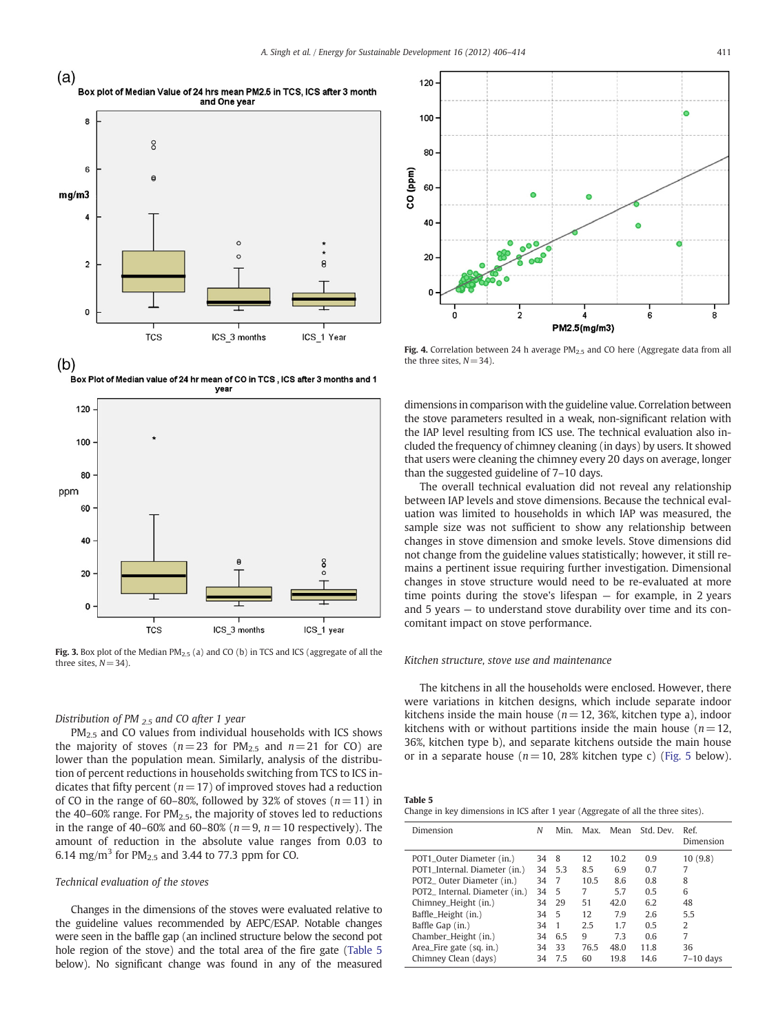<span id="page-5-0"></span>



Box Plot of Median value of 24 hr mean of CO in TCS, ICS after 3 months and 1 year



Fig. 3. Box plot of the Median  $PM_{2.5}$  (a) and CO (b) in TCS and ICS (aggregate of all the three sites,  $N=34$ ).

#### Distribution of PM  $_{2.5}$  and CO after 1 year

 $PM<sub>2.5</sub>$  and CO values from individual households with ICS shows the majority of stoves ( $n=23$  for PM<sub>2.5</sub> and  $n=21$  for CO) are lower than the population mean. Similarly, analysis of the distribution of percent reductions in households switching from TCS to ICS indicates that fifty percent ( $n= 17$ ) of improved stoves had a reduction of CO in the range of 60–80%, followed by 32% of stoves  $(n=11)$  in the 40–60% range. For  $PM<sub>2.5</sub>$ , the majority of stoves led to reductions in the range of 40–60% and 60–80% ( $n=9$ ,  $n=10$  respectively). The amount of reduction in the absolute value ranges from 0.03 to 6.14 mg/m<sup>3</sup> for  $PM_{2.5}$  and 3.44 to 77.3 ppm for CO.

#### Technical evaluation of the stoves

Changes in the dimensions of the stoves were evaluated relative to the guideline values recommended by AEPC/ESAP. Notable changes were seen in the baffle gap (an inclined structure below the second pot hole region of the stove) and the total area of the fire gate (Table 5 below). No significant change was found in any of the measured



Fig. 4. Correlation between 24 h average  $PM<sub>2.5</sub>$  and CO here (Aggregate data from all the three sites,  $N=34$ ).

dimensions in comparison with the guideline value. Correlation between the stove parameters resulted in a weak, non-significant relation with the IAP level resulting from ICS use. The technical evaluation also included the frequency of chimney cleaning (in days) by users. It showed that users were cleaning the chimney every 20 days on average, longer than the suggested guideline of 7–10 days.

The overall technical evaluation did not reveal any relationship between IAP levels and stove dimensions. Because the technical evaluation was limited to households in which IAP was measured, the sample size was not sufficient to show any relationship between changes in stove dimension and smoke levels. Stove dimensions did not change from the guideline values statistically; however, it still remains a pertinent issue requiring further investigation. Dimensional changes in stove structure would need to be re-evaluated at more time points during the stove's lifespan  $-$  for example, in 2 years and 5 years — to understand stove durability over time and its concomitant impact on stove performance.

#### Kitchen structure, stove use and maintenance

The kitchens in all the households were enclosed. However, there were variations in kitchen designs, which include separate indoor kitchens inside the main house ( $n= 12$ , 36%, kitchen type a), indoor kitchens with or without partitions inside the main house ( $n=12$ , 36%, kitchen type b), and separate kitchens outside the main house or in a separate house ( $n=10$ , 28% kitchen type c) ([Fig. 5](#page-6-0) below).

| Table 5                                                                          |  |
|----------------------------------------------------------------------------------|--|
| Change in key dimensions in ICS after 1 year (Aggregate of all the three sites). |  |

| Dimension                     | N  | Min.         | Max. | Mean | Std. Dev. | Ref.<br>Dimension |
|-------------------------------|----|--------------|------|------|-----------|-------------------|
| POT1 Outer Diameter (in.)     | 34 | 8            | 12   | 10.2 | 0.9       | 10 (9.8)          |
| POT1_Internal, Diameter (in.) | 34 | 5.3          | 8.5  | 6.9  | 0.7       | 7                 |
| POT2_ Outer Diameter (in.)    | 34 | 7            | 10.5 | 8.6  | 0.8       | 8                 |
| POT2_Internal. Diameter (in.) | 34 | -5           | 7    | 5.7  | 0.5       | 6                 |
| Chimney_Height (in.)          | 34 | 29           | 51   | 42.0 | 6.2       | 48                |
| Baffle_Height (in.)           | 34 | 5            | 12   | 7.9  | 2.6       | 5.5               |
| Baffle Gap (in.)              | 34 | $\mathbf{1}$ | 2.5  | 1.7  | 0.5       | 2                 |
| Chamber_Height (in.)          | 34 | 6.5          | 9    | 7.3  | 0.6       | 7                 |
| Area_Fire gate (sq. in.)      | 34 | 33           | 76.5 | 48.0 | 11.8      | 36                |
| Chimney Clean (days)          | 34 | 7.5          | 60   | 19.8 | 14.6      | $7-10$ days       |
|                               |    |              |      |      |           |                   |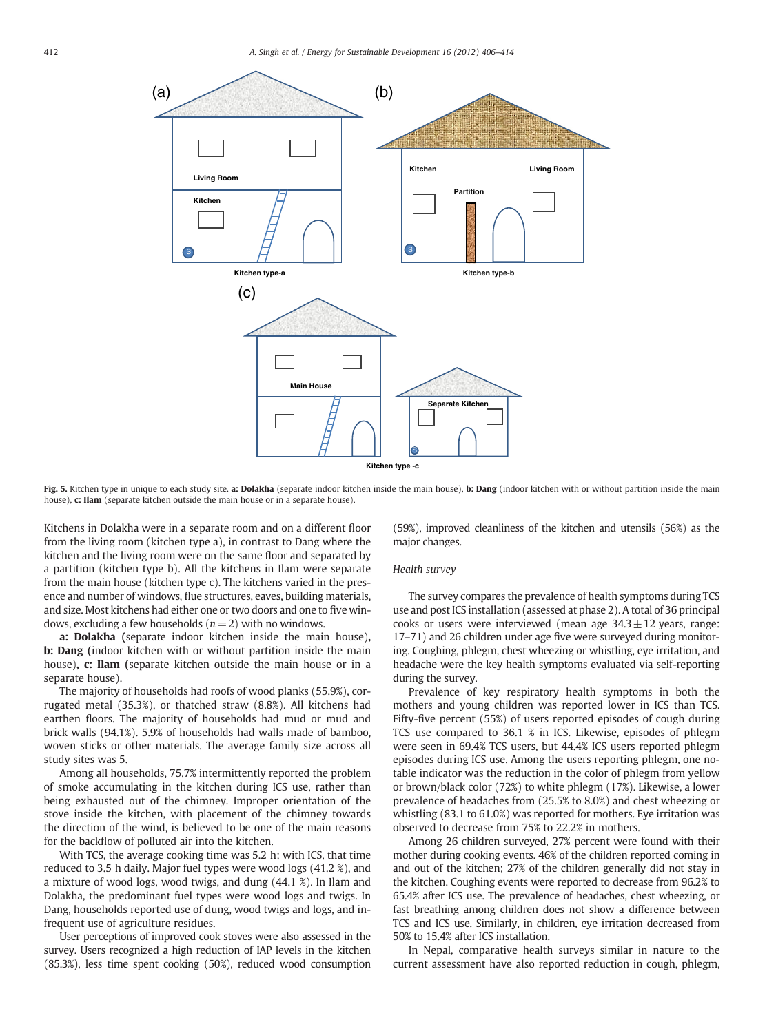<span id="page-6-0"></span>

Fig. 5. Kitchen type in unique to each study site. a: Dolakha (separate indoor kitchen inside the main house), b: Dang (indoor kitchen with or without partition inside the main house), c: Ilam (separate kitchen outside the main house or in a separate house).

Kitchens in Dolakha were in a separate room and on a different floor from the living room (kitchen type a), in contrast to Dang where the kitchen and the living room were on the same floor and separated by a partition (kitchen type b). All the kitchens in Ilam were separate from the main house (kitchen type c). The kitchens varied in the presence and number of windows, flue structures, eaves, building materials, and size. Most kitchens had either one or two doors and one to five windows, excluding a few households ( $n=2$ ) with no windows.

a: Dolakha (separate indoor kitchen inside the main house), **b: Dang** (indoor kitchen with or without partition inside the main house), **c: Ilam** (separate kitchen outside the main house or in a separate house).

The majority of households had roofs of wood planks (55.9%), corrugated metal (35.3%), or thatched straw (8.8%). All kitchens had earthen floors. The majority of households had mud or mud and brick walls (94.1%). 5.9% of households had walls made of bamboo, woven sticks or other materials. The average family size across all study sites was 5.

Among all households, 75.7% intermittently reported the problem of smoke accumulating in the kitchen during ICS use, rather than being exhausted out of the chimney. Improper orientation of the stove inside the kitchen, with placement of the chimney towards the direction of the wind, is believed to be one of the main reasons for the backflow of polluted air into the kitchen.

With TCS, the average cooking time was 5.2 h; with ICS, that time reduced to 3.5 h daily. Major fuel types were wood logs (41.2 %), and a mixture of wood logs, wood twigs, and dung (44.1 %). In Ilam and Dolakha, the predominant fuel types were wood logs and twigs. In Dang, households reported use of dung, wood twigs and logs, and infrequent use of agriculture residues.

User perceptions of improved cook stoves were also assessed in the survey. Users recognized a high reduction of IAP levels in the kitchen (85.3%), less time spent cooking (50%), reduced wood consumption (59%), improved cleanliness of the kitchen and utensils (56%) as the major changes.

#### Health survey

The survey compares the prevalence of health symptoms during TCS use and post ICS installation (assessed at phase 2). A total of 36 principal cooks or users were interviewed (mean age  $34.3 \pm 12$  years, range: 17–71) and 26 children under age five were surveyed during monitoring. Coughing, phlegm, chest wheezing or whistling, eye irritation, and headache were the key health symptoms evaluated via self-reporting during the survey.

Prevalence of key respiratory health symptoms in both the mothers and young children was reported lower in ICS than TCS. Fifty-five percent (55%) of users reported episodes of cough during TCS use compared to 36.1 % in ICS. Likewise, episodes of phlegm were seen in 69.4% TCS users, but 44.4% ICS users reported phlegm episodes during ICS use. Among the users reporting phlegm, one notable indicator was the reduction in the color of phlegm from yellow or brown/black color (72%) to white phlegm (17%). Likewise, a lower prevalence of headaches from (25.5% to 8.0%) and chest wheezing or whistling (83.1 to 61.0%) was reported for mothers. Eye irritation was observed to decrease from 75% to 22.2% in mothers.

Among 26 children surveyed, 27% percent were found with their mother during cooking events. 46% of the children reported coming in and out of the kitchen; 27% of the children generally did not stay in the kitchen. Coughing events were reported to decrease from 96.2% to 65.4% after ICS use. The prevalence of headaches, chest wheezing, or fast breathing among children does not show a difference between TCS and ICS use. Similarly, in children, eye irritation decreased from 50% to 15.4% after ICS installation.

In Nepal, comparative health surveys similar in nature to the current assessment have also reported reduction in cough, phlegm,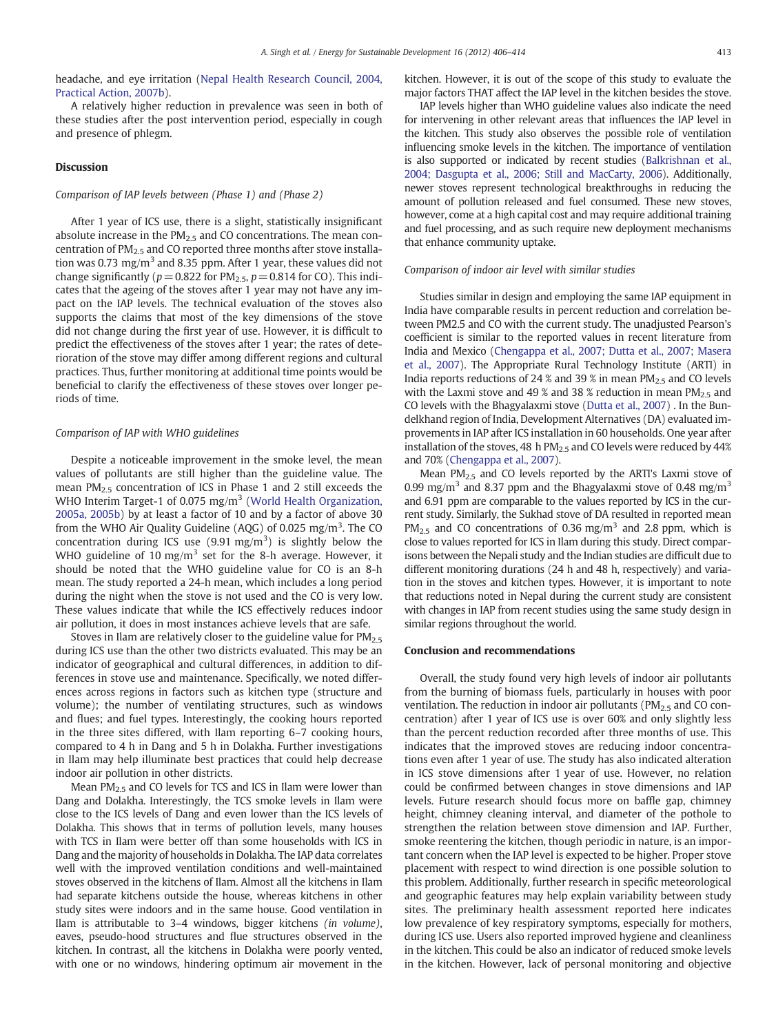headache, and eye irritation [\(Nepal Health Research Council, 2004,](#page-8-0) [Practical Action, 2007b](#page-8-0)).

A relatively higher reduction in prevalence was seen in both of these studies after the post intervention period, especially in cough and presence of phlegm.

#### Discussion

#### Comparison of IAP levels between (Phase 1) and (Phase 2)

After 1 year of ICS use, there is a slight, statistically insignificant absolute increase in the  $PM<sub>2.5</sub>$  and CO concentrations. The mean concentration of PM2.5 and CO reported three months after stove installation was 0.73 mg/m<sup>3</sup> and 8.35 ppm. After 1 year, these values did not change significantly ( $p=0.822$  for PM<sub>2.5</sub>,  $p=0.814$  for CO). This indicates that the ageing of the stoves after 1 year may not have any impact on the IAP levels. The technical evaluation of the stoves also supports the claims that most of the key dimensions of the stove did not change during the first year of use. However, it is difficult to predict the effectiveness of the stoves after 1 year; the rates of deterioration of the stove may differ among different regions and cultural practices. Thus, further monitoring at additional time points would be beneficial to clarify the effectiveness of these stoves over longer periods of time.

#### Comparison of IAP with WHO guidelines

Despite a noticeable improvement in the smoke level, the mean values of pollutants are still higher than the guideline value. The mean PM2.5 concentration of ICS in Phase 1 and 2 still exceeds the WHO Interim Target-1 of 0.075 mg/m<sup>3</sup> [\(World Health Organization,](#page-8-0) [2005a, 2005b](#page-8-0)) by at least a factor of 10 and by a factor of above 30 from the WHO Air Quality Guideline (AQG) of 0.025 mg/m<sup>3</sup>. The CO concentration during ICS use  $(9.91 \text{ mg/m}^3)$  is slightly below the WHO guideline of 10 mg/m<sup>3</sup> set for the 8-h average. However, it should be noted that the WHO guideline value for CO is an 8-h mean. The study reported a 24-h mean, which includes a long period during the night when the stove is not used and the CO is very low. These values indicate that while the ICS effectively reduces indoor air pollution, it does in most instances achieve levels that are safe.

Stoves in Ilam are relatively closer to the guideline value for  $PM<sub>2.5</sub>$ during ICS use than the other two districts evaluated. This may be an indicator of geographical and cultural differences, in addition to differences in stove use and maintenance. Specifically, we noted differences across regions in factors such as kitchen type (structure and volume); the number of ventilating structures, such as windows and flues; and fuel types. Interestingly, the cooking hours reported in the three sites differed, with Ilam reporting 6–7 cooking hours, compared to 4 h in Dang and 5 h in Dolakha. Further investigations in Ilam may help illuminate best practices that could help decrease indoor air pollution in other districts.

Mean PM<sub>2.5</sub> and CO levels for TCS and ICS in Ilam were lower than Dang and Dolakha. Interestingly, the TCS smoke levels in Ilam were close to the ICS levels of Dang and even lower than the ICS levels of Dolakha. This shows that in terms of pollution levels, many houses with TCS in Ilam were better off than some households with ICS in Dang and the majority of households in Dolakha. The IAP data correlates well with the improved ventilation conditions and well-maintained stoves observed in the kitchens of Ilam. Almost all the kitchens in Ilam had separate kitchens outside the house, whereas kitchens in other study sites were indoors and in the same house. Good ventilation in Ilam is attributable to 3–4 windows, bigger kitchens (in volume), eaves, pseudo-hood structures and flue structures observed in the kitchen. In contrast, all the kitchens in Dolakha were poorly vented, with one or no windows, hindering optimum air movement in the

kitchen. However, it is out of the scope of this study to evaluate the major factors THAT affect the IAP level in the kitchen besides the stove.

IAP levels higher than WHO guideline values also indicate the need for intervening in other relevant areas that influences the IAP level in the kitchen. This study also observes the possible role of ventilation influencing smoke levels in the kitchen. The importance of ventilation is also supported or indicated by recent studies [\(Balkrishnan et al.,](#page-8-0) [2004; Dasgupta et al., 2006; Still and MacCarty, 2006](#page-8-0)). Additionally, newer stoves represent technological breakthroughs in reducing the amount of pollution released and fuel consumed. These new stoves, however, come at a high capital cost and may require additional training and fuel processing, and as such require new deployment mechanisms that enhance community uptake.

#### Comparison of indoor air level with similar studies

Studies similar in design and employing the same IAP equipment in India have comparable results in percent reduction and correlation between PM2.5 and CO with the current study. The unadjusted Pearson's coefficient is similar to the reported values in recent literature from India and Mexico ([Chengappa et al., 2007; Dutta et al., 2007; Masera](#page-8-0) [et al., 2007\)](#page-8-0). The Appropriate Rural Technology Institute (ARTI) in India reports reductions of 24 % and 39 % in mean  $PM<sub>2.5</sub>$  and CO levels with the Laxmi stove and 49 % and 38 % reduction in mean  $PM<sub>2.5</sub>$  and CO levels with the Bhagyalaxmi stove [\(Dutta et al., 2007](#page-8-0)) . In the Bundelkhand region of India, Development Alternatives (DA) evaluated improvements in IAP after ICS installation in 60 households. One year after installation of the stoves, 48 h  $PM<sub>2.5</sub>$  and CO levels were reduced by 44% and 70% [\(Chengappa et al., 2007\)](#page-8-0).

Mean  $PM<sub>2.5</sub>$  and CO levels reported by the ARTI's Laxmi stove of 0.99 mg/m<sup>3</sup> and 8.37 ppm and the Bhagyalaxmi stove of 0.48 mg/m<sup>3</sup> and 6.91 ppm are comparable to the values reported by ICS in the current study. Similarly, the Sukhad stove of DA resulted in reported mean  $PM<sub>2.5</sub>$  and CO concentrations of 0.36 mg/m<sup>3</sup> and 2.8 ppm, which is close to values reported for ICS in Ilam during this study. Direct comparisons between the Nepali study and the Indian studies are difficult due to different monitoring durations (24 h and 48 h, respectively) and variation in the stoves and kitchen types. However, it is important to note that reductions noted in Nepal during the current study are consistent with changes in IAP from recent studies using the same study design in similar regions throughout the world.

#### Conclusion and recommendations

Overall, the study found very high levels of indoor air pollutants from the burning of biomass fuels, particularly in houses with poor ventilation. The reduction in indoor air pollutants ( $PM<sub>2.5</sub>$  and CO concentration) after 1 year of ICS use is over 60% and only slightly less than the percent reduction recorded after three months of use. This indicates that the improved stoves are reducing indoor concentrations even after 1 year of use. The study has also indicated alteration in ICS stove dimensions after 1 year of use. However, no relation could be confirmed between changes in stove dimensions and IAP levels. Future research should focus more on baffle gap, chimney height, chimney cleaning interval, and diameter of the pothole to strengthen the relation between stove dimension and IAP. Further, smoke reentering the kitchen, though periodic in nature, is an important concern when the IAP level is expected to be higher. Proper stove placement with respect to wind direction is one possible solution to this problem. Additionally, further research in specific meteorological and geographic features may help explain variability between study sites. The preliminary health assessment reported here indicates low prevalence of key respiratory symptoms, especially for mothers, during ICS use. Users also reported improved hygiene and cleanliness in the kitchen. This could be also an indicator of reduced smoke levels in the kitchen. However, lack of personal monitoring and objective